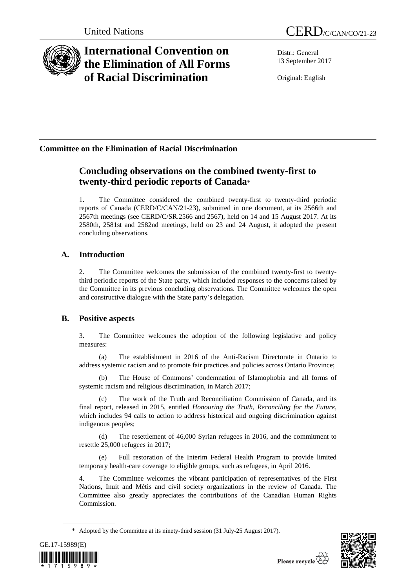

# **International Convention on the Elimination of All Forms of Racial Discrimination**

Distr.: General 13 September 2017

Original: English

## **Committee on the Elimination of Racial Discrimination**

## **Concluding observations on the combined twenty-first to twenty-third periodic reports of Canada**\*

1. The Committee considered the combined twenty-first to twenty-third periodic reports of Canada (CERD/C/CAN/21-23), submitted in one document, at its 2566th and 2567th meetings (see CERD/C/SR.2566 and 2567), held on 14 and 15 August 2017. At its 2580th, 2581st and 2582nd meetings, held on 23 and 24 August, it adopted the present concluding observations.

## **A. Introduction**

2. The Committee welcomes the submission of the combined twenty-first to twentythird periodic reports of the State party, which included responses to the concerns raised by the Committee in its previous concluding observations. The Committee welcomes the open and constructive dialogue with the State party's delegation.

## **B. Positive aspects**

3. The Committee welcomes the adoption of the following legislative and policy measures:

(a) The establishment in 2016 of the Anti-Racism Directorate in Ontario to address systemic racism and to promote fair practices and policies across Ontario Province;

(b) The House of Commons' condemnation of Islamophobia and all forms of systemic racism and religious discrimination, in March 2017;

The work of the Truth and Reconciliation Commission of Canada, and its final report, released in 2015, entitled *Honouring the Truth, Reconciling for the Future*, which includes 94 calls to action to address historical and ongoing discrimination against indigenous peoples;

(d) The resettlement of 46,000 Syrian refugees in 2016, and the commitment to resettle 25,000 refugees in 2017;

(e) Full restoration of the Interim Federal Health Program to provide limited temporary health-care coverage to eligible groups, such as refugees, in April 2016.

4. The Committee welcomes the vibrant participation of representatives of the First Nations, Inuit and Métis and civil society organizations in the review of Canada. The Committee also greatly appreciates the contributions of the Canadian Human Rights Commission.

<sup>\*</sup> Adopted by the Committee at its ninety-third session (31 July-25 August 2017).



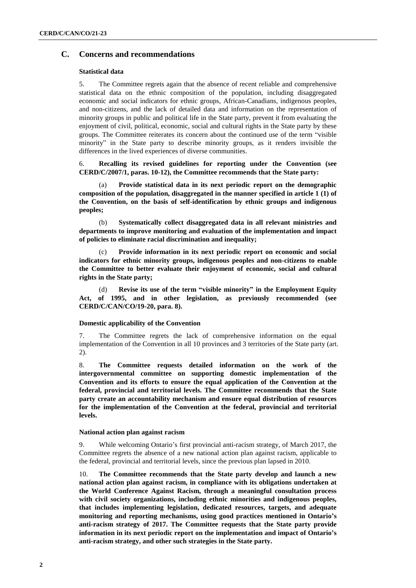## **C. Concerns and recommendations**

#### **Statistical data**

5. The Committee regrets again that the absence of recent reliable and comprehensive statistical data on the ethnic composition of the population, including disaggregated economic and social indicators for ethnic groups, African-Canadians, indigenous peoples, and non-citizens, and the lack of detailed data and information on the representation of minority groups in public and political life in the State party, prevent it from evaluating the enjoyment of civil, political, economic, social and cultural rights in the State party by these groups. The Committee reiterates its concern about the continued use of the term "visible minority" in the State party to describe minority groups, as it renders invisible the differences in the lived experiences of diverse communities.

6. **Recalling its revised guidelines for reporting under the Convention (see CERD/C/2007/1, paras. 10-12), the Committee recommends that the State party:**

(a) **Provide statistical data in its next periodic report on the demographic composition of the population, disaggregated in the manner specified in article 1 (1) of the Convention, on the basis of self-identification by ethnic groups and indigenous peoples;**

(b) **Systematically collect disaggregated data in all relevant ministries and departments to improve monitoring and evaluation of the implementation and impact of policies to eliminate racial discrimination and inequality;**

(c) **Provide information in its next periodic report on economic and social indicators for ethnic minority groups, indigenous peoples and non-citizens to enable the Committee to better evaluate their enjoyment of economic, social and cultural rights in the State party;**

(d) **Revise its use of the term "visible minority" in the Employment Equity Act, of 1995, and in other legislation, as previously recommended (see CERD/C/CAN/CO/19-20, para. 8).**

#### **Domestic applicability of the Convention**

7. The Committee regrets the lack of comprehensive information on the equal implementation of the Convention in all 10 provinces and 3 territories of the State party (art. 2).

8. **The Committee requests detailed information on the work of the intergovernmental committee on supporting domestic implementation of the Convention and its efforts to ensure the equal application of the Convention at the federal, provincial and territorial levels. The Committee recommends that the State party create an accountability mechanism and ensure equal distribution of resources for the implementation of the Convention at the federal, provincial and territorial levels.**

#### **National action plan against racism**

9. While welcoming Ontario's first provincial anti-racism strategy, of March 2017, the Committee regrets the absence of a new national action plan against racism, applicable to the federal, provincial and territorial levels, since the previous plan lapsed in 2010.

10. **The Committee recommends that the State party develop and launch a new national action plan against racism, in compliance with its obligations undertaken at the World Conference Against Racism, through a meaningful consultation process with civil society organizations, including ethnic minorities and indigenous peoples, that includes implementing legislation, dedicated resources, targets, and adequate monitoring and reporting mechanisms, using good practices mentioned in Ontario's anti-racism strategy of 2017. The Committee requests that the State party provide information in its next periodic report on the implementation and impact of Ontario's anti-racism strategy, and other such strategies in the State party.**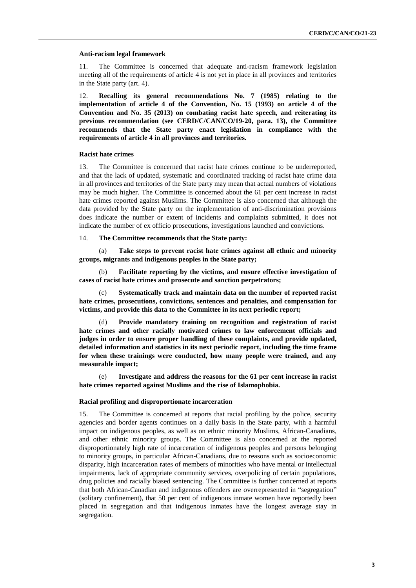#### **Anti-racism legal framework**

11. The Committee is concerned that adequate anti-racism framework legislation meeting all of the requirements of article 4 is not yet in place in all provinces and territories in the State party (art. 4).

12. **Recalling its general recommendations No. 7 (1985) relating to the implementation of article 4 of the Convention, No. 15 (1993) on article 4 of the Convention and No. 35 (2013) on combating racist hate speech, and reiterating its previous recommendation (see CERD/C/CAN/CO/19-20, para. 13), the Committee recommends that the State party enact legislation in compliance with the requirements of article 4 in all provinces and territories.**

#### **Racist hate crimes**

13. The Committee is concerned that racist hate crimes continue to be underreported, and that the lack of updated, systematic and coordinated tracking of racist hate crime data in all provinces and territories of the State party may mean that actual numbers of violations may be much higher. The Committee is concerned about the 61 per cent increase in racist hate crimes reported against Muslims. The Committee is also concerned that although the data provided by the State party on the implementation of anti-discrimination provisions does indicate the number or extent of incidents and complaints submitted, it does not indicate the number of ex officio prosecutions, investigations launched and convictions.

#### 14. **The Committee recommends that the State party:**

(a) **Take steps to prevent racist hate crimes against all ethnic and minority groups, migrants and indigenous peoples in the State party;**

(b) **Facilitate reporting by the victims, and ensure effective investigation of cases of racist hate crimes and prosecute and sanction perpetrators;**

(c) **Systematically track and maintain data on the number of reported racist hate crimes, prosecutions, convictions, sentences and penalties, and compensation for victims, and provide this data to the Committee in its next periodic report;**

(d) **Provide mandatory training on recognition and registration of racist hate crimes and other racially motivated crimes to law enforcement officials and judges in order to ensure proper handling of these complaints, and provide updated, detailed information and statistics in its next periodic report, including the time frame for when these trainings were conducted, how many people were trained, and any measurable impact;**

(e) **Investigate and address the reasons for the 61 per cent increase in racist hate crimes reported against Muslims and the rise of Islamophobia.**

#### **Racial profiling and disproportionate incarceration**

15. The Committee is concerned at reports that racial profiling by the police, security agencies and border agents continues on a daily basis in the State party, with a harmful impact on indigenous peoples, as well as on ethnic minority Muslims, African-Canadians, and other ethnic minority groups. The Committee is also concerned at the reported disproportionately high rate of incarceration of indigenous peoples and persons belonging to minority groups, in particular African-Canadians, due to reasons such as socioeconomic disparity, high incarceration rates of members of minorities who have mental or intellectual impairments, lack of appropriate community services, overpolicing of certain populations, drug policies and racially biased sentencing. The Committee is further concerned at reports that both African-Canadian and indigenous offenders are overrepresented in "segregation" (solitary confinement), that 50 per cent of indigenous inmate women have reportedly been placed in segregation and that indigenous inmates have the longest average stay in segregation.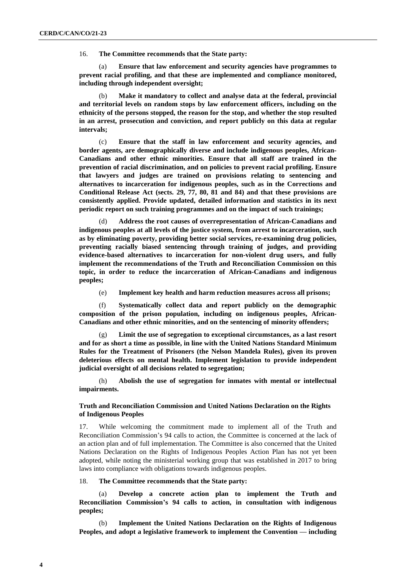16. **The Committee recommends that the State party:**

(a) **Ensure that law enforcement and security agencies have programmes to prevent racial profiling, and that these are implemented and compliance monitored, including through independent oversight;**

(b) **Make it mandatory to collect and analyse data at the federal, provincial and territorial levels on random stops by law enforcement officers, including on the ethnicity of the persons stopped, the reason for the stop, and whether the stop resulted in an arrest, prosecution and conviction, and report publicly on this data at regular intervals;**

(c) **Ensure that the staff in law enforcement and security agencies, and border agents, are demographically diverse and include indigenous peoples, African-Canadians and other ethnic minorities. Ensure that all staff are trained in the prevention of racial discrimination, and on policies to prevent racial profiling. Ensure that lawyers and judges are trained on provisions relating to sentencing and alternatives to incarceration for indigenous peoples, such as in the Corrections and Conditional Release Act (sects. 29, 77, 80, 81 and 84) and that these provisions are consistently applied. Provide updated, detailed information and statistics in its next periodic report on such training programmes and on the impact of such trainings;**

(d) **Address the root causes of overrepresentation of African-Canadians and indigenous peoples at all levels of the justice system, from arrest to incarceration, such as by eliminating poverty, providing better social services, re-examining drug policies, preventing racially biased sentencing through training of judges, and providing evidence-based alternatives to incarceration for non-violent drug users, and fully implement the recommendations of the Truth and Reconciliation Commission on this topic, in order to reduce the incarceration of African-Canadians and indigenous peoples;**

(e) **Implement key health and harm reduction measures across all prisons;**

(f) **Systematically collect data and report publicly on the demographic composition of the prison population, including on indigenous peoples, African-Canadians and other ethnic minorities, and on the sentencing of minority offenders;**

(g) **Limit the use of segregation to exceptional circumstances, as a last resort and for as short a time as possible, in line with the United Nations Standard Minimum Rules for the Treatment of Prisoners (the Nelson Mandela Rules), given its proven deleterious effects on mental health. Implement legislation to provide independent judicial oversight of all decisions related to segregation;**

(h) **Abolish the use of segregation for inmates with mental or intellectual impairments.**

### **Truth and Reconciliation Commission and United Nations Declaration on the Rights of Indigenous Peoples**

17. While welcoming the commitment made to implement all of the Truth and Reconciliation Commission's 94 calls to action, the Committee is concerned at the lack of an action plan and of full implementation. The Committee is also concerned that the United Nations Declaration on the Rights of Indigenous Peoples Action Plan has not yet been adopted, while noting the ministerial working group that was established in 2017 to bring laws into compliance with obligations towards indigenous peoples.

#### 18. **The Committee recommends that the State party:**

(a) **Develop a concrete action plan to implement the Truth and Reconciliation Commission's 94 calls to action, in consultation with indigenous peoples;**

(b) **Implement the United Nations Declaration on the Rights of Indigenous Peoples, and adopt a legislative framework to implement the Convention — including**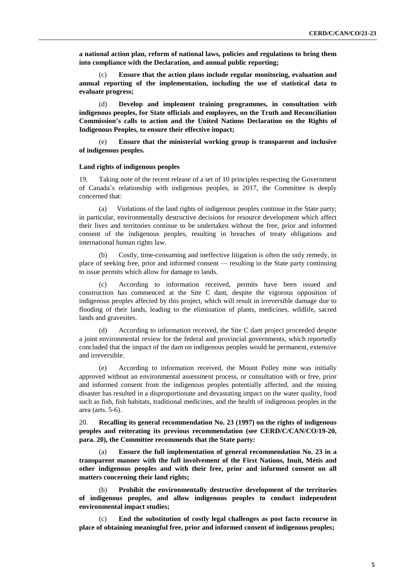**a national action plan, reform of national laws, policies and regulations to bring them into compliance with the Declaration, and annual public reporting;**

(c) **Ensure that the action plans include regular monitoring, evaluation and annual reporting of the implementation, including the use of statistical data to evaluate progress;**

(d) **Develop and implement training programmes, in consultation with indigenous peoples, for State officials and employees, on the Truth and Reconciliation Commission's calls to action and the United Nations Declaration on the Rights of Indigenous Peoples, to ensure their effective impact;**

(e) **Ensure that the ministerial working group is transparent and inclusive of indigenous peoples.**

#### **Land rights of indigenous peoples**

19. Taking note of the recent release of a set of 10 principles respecting the Government of Canada's relationship with indigenous peoples, in 2017, the Committee is deeply concerned that:

(a) Violations of the land rights of indigenous peoples continue in the State party; in particular, environmentally destructive decisions for resource development which affect their lives and territories continue to be undertaken without the free, prior and informed consent of the indigenous peoples, resulting in breaches of treaty obligations and international human rights law.

(b) Costly, time-consuming and ineffective litigation is often the only remedy, in place of seeking free, prior and informed consent — resulting in the State party continuing to issue permits which allow for damage to lands.

(c) According to information received, permits have been issued and construction has commenced at the Site C dam, despite the vigorous opposition of indigenous peoples affected by this project, which will result in irreversible damage due to flooding of their lands, leading to the elimination of plants, medicines, wildlife, sacred lands and gravesites.

(d) According to information received, the Site C dam project proceeded despite a joint environmental review for the federal and provincial governments, which reportedly concluded that the impact of the dam on indigenous peoples would be permanent, extensive and irreversible.

(e) According to information received, the Mount Polley mine was initially approved without an environmental assessment process, or consultation with or free, prior and informed consent from the indigenous peoples potentially affected, and the mining disaster has resulted in a disproportionate and devastating impact on the water quality, food such as fish, fish habitats, traditional medicines, and the health of indigenous peoples in the area (arts. 5-6).

20. **Recalling its general recommendation No. 23 (1997) on the rights of indigenous peoples and reiterating its previous recommendation (see CERD/C/CAN/CO/19-20, para. 20), the Committee recommends that the State party:**

(a) **Ensure the full implementation of general recommendation No. 23 in a transparent manner with the full involvement of the First Nations, Inuit, Métis and other indigenous peoples and with their free, prior and informed consent on all matters concerning their land rights;**

(b) **Prohibit the environmentally destructive development of the territories of indigenous peoples, and allow indigenous peoples to conduct independent environmental impact studies;**

(c) **End the substitution of costly legal challenges as post facto recourse in place of obtaining meaningful free, prior and informed consent of indigenous peoples;**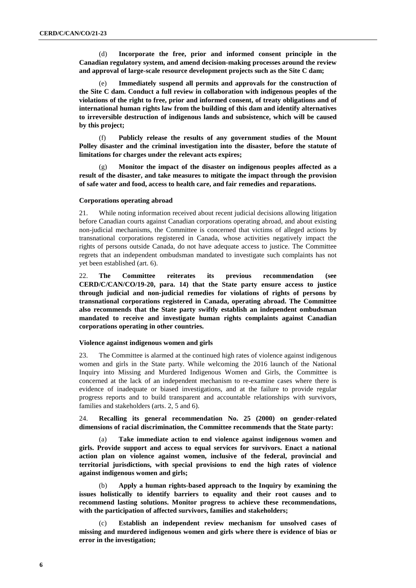(d) **Incorporate the free, prior and informed consent principle in the Canadian regulatory system, and amend decision-making processes around the review and approval of large-scale resource development projects such as the Site C dam;**

(e) **Immediately suspend all permits and approvals for the construction of the Site C dam. Conduct a full review in collaboration with indigenous peoples of the violations of the right to free, prior and informed consent, of treaty obligations and of international human rights law from the building of this dam and identify alternatives to irreversible destruction of indigenous lands and subsistence, which will be caused by this project;**

(f) **Publicly release the results of any government studies of the Mount Polley disaster and the criminal investigation into the disaster, before the statute of limitations for charges under the relevant acts expires;**

(g) **Monitor the impact of the disaster on indigenous peoples affected as a result of the disaster, and take measures to mitigate the impact through the provision of safe water and food, access to health care, and fair remedies and reparations.**

#### **Corporations operating abroad**

21. While noting information received about recent judicial decisions allowing litigation before Canadian courts against Canadian corporations operating abroad, and about existing non-judicial mechanisms, the Committee is concerned that victims of alleged actions by transnational corporations registered in Canada, whose activities negatively impact the rights of persons outside Canada, do not have adequate access to justice. The Committee regrets that an independent ombudsman mandated to investigate such complaints has not yet been established (art. 6).

22. **The Committee reiterates its previous recommendation (see CERD/C/CAN/CO/19-20, para. 14) that the State party ensure access to justice through judicial and non-judicial remedies for violations of rights of persons by transnational corporations registered in Canada, operating abroad. The Committee also recommends that the State party swiftly establish an independent ombudsman mandated to receive and investigate human rights complaints against Canadian corporations operating in other countries.**

#### **Violence against indigenous women and girls**

23. The Committee is alarmed at the continued high rates of violence against indigenous women and girls in the State party. While welcoming the 2016 launch of the National Inquiry into Missing and Murdered Indigenous Women and Girls, the Committee is concerned at the lack of an independent mechanism to re-examine cases where there is evidence of inadequate or biased investigations, and at the failure to provide regular progress reports and to build transparent and accountable relationships with survivors, families and stakeholders (arts. 2, 5 and 6).

24. **Recalling its general recommendation No. 25 (2000) on gender-related dimensions of racial discrimination, the Committee recommends that the State party:**

(a) **Take immediate action to end violence against indigenous women and girls. Provide support and access to equal services for survivors. Enact a national action plan on violence against women, inclusive of the federal, provincial and territorial jurisdictions, with special provisions to end the high rates of violence against indigenous women and girls;**

(b) **Apply a human rights-based approach to the Inquiry by examining the issues holistically to identify barriers to equality and their root causes and to recommend lasting solutions. Monitor progress to achieve these recommendations, with the participation of affected survivors, families and stakeholders;**

(c) **Establish an independent review mechanism for unsolved cases of missing and murdered indigenous women and girls where there is evidence of bias or error in the investigation;**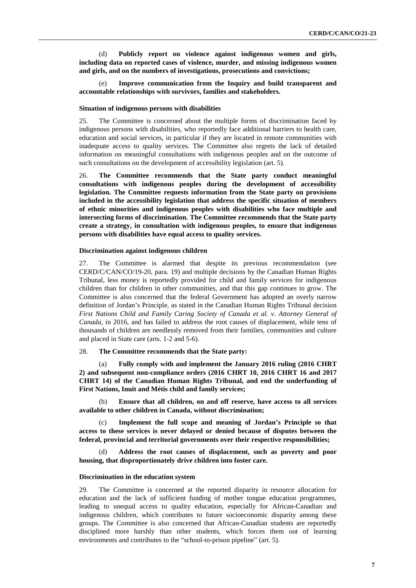(d) **Publicly report on violence against indigenous women and girls, including data on reported cases of violence, murder, and missing indigenous women and girls, and on the numbers of investigations, prosecutions and convictions;**

(e) **Improve communication from the Inquiry and build transparent and accountable relationships with survivors, families and stakeholders.**

#### **Situation of indigenous persons with disabilities**

25. The Committee is concerned about the multiple forms of discrimination faced by indigenous persons with disabilities, who reportedly face additional barriers to health care, education and social services, in particular if they are located in remote communities with inadequate access to quality services. The Committee also regrets the lack of detailed information on meaningful consultations with indigenous peoples and on the outcome of such consultations on the development of accessibility legislation (art. 5).

26. **The Committee recommends that the State party conduct meaningful consultations with indigenous peoples during the development of accessibility legislation. The Committee requests information from the State party on provisions included in the accessibility legislation that address the specific situation of members of ethnic minorities and indigenous peoples with disabilities who face multiple and intersecting forms of discrimination. The Committee recommends that the State party create a strategy, in consultation with indigenous peoples, to ensure that indigenous persons with disabilities have equal access to quality services.**

#### **Discrimination against indigenous children**

27. The Committee is alarmed that despite its previous recommendation (see CERD/C/CAN/CO/19-20, para. 19) and multiple decisions by the Canadian Human Rights Tribunal, less money is reportedly provided for child and family services for indigenous children than for children in other communities, and that this gap continues to grow. The Committee is also concerned that the federal Government has adopted an overly narrow definition of Jordan's Principle, as stated in the Canadian Human Rights Tribunal decision *First Nations Child and Family Caring Society of Canada et al. v. Attorney General of Canada*, in 2016, and has failed to address the root causes of displacement, while tens of thousands of children are needlessly removed from their families, communities and culture and placed in State care (arts. 1-2 and 5-6).

#### 28. **The Committee recommends that the State party:**

(a) **Fully comply with and implement the January 2016 ruling (2016 CHRT 2) and subsequent non-compliance orders (2016 CHRT 10, 2016 CHRT 16 and 2017 CHRT 14) of the Canadian Human Rights Tribunal, and end the underfunding of First Nations, Inuit and Métis child and family services;**

(b) **Ensure that all children, on and off reserve, have access to all services available to other children in Canada, without discrimination;**

(c) **Implement the full scope and meaning of Jordan's Principle so that access to these services is never delayed or denied because of disputes between the federal, provincial and territorial governments over their respective responsibilities;**

(d) **Address the root causes of displacement, such as poverty and poor housing, that disproportionately drive children into foster care.**

#### **Discrimination in the education system**

29. The Committee is concerned at the reported disparity in resource allocation for education and the lack of sufficient funding of mother tongue education programmes, leading to unequal access to quality education, especially for African-Canadian and indigenous children, which contributes to future socioeconomic disparity among these groups. The Committee is also concerned that African-Canadian students are reportedly disciplined more harshly than other students, which forces them out of learning environments and contributes to the "school-to-prison pipeline" (art. 5).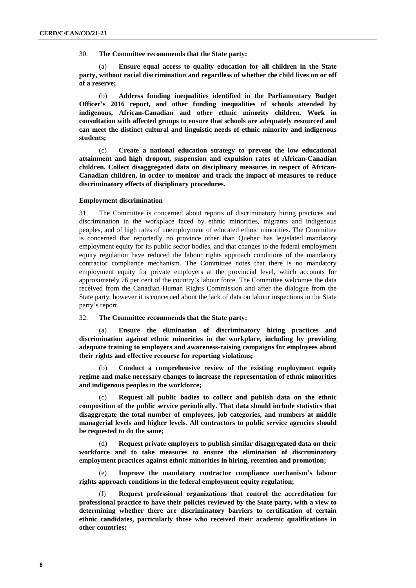30. **The Committee recommends that the State party:**

(a) **Ensure equal access to quality education for all children in the State party, without racial discrimination and regardless of whether the child lives on or off of a reserve;**

(b) **Address funding inequalities identified in the Parliamentary Budget Officer's 2016 report, and other funding inequalities of schools attended by indigenous, African-Canadian and other ethnic minority children. Work in consultation with affected groups to ensure that schools are adequately resourced and can meet the distinct cultural and linguistic needs of ethnic minority and indigenous students;**

(c) **Create a national education strategy to prevent the low educational attainment and high dropout, suspension and expulsion rates of African-Canadian children. Collect disaggregated data on disciplinary measures in respect of African-Canadian children, in order to monitor and track the impact of measures to reduce discriminatory effects of disciplinary procedures.**

#### **Employment discrimination**

31. The Committee is concerned about reports of discriminatory hiring practices and discrimination in the workplace faced by ethnic minorities, migrants and indigenous peoples, and of high rates of unemployment of educated ethnic minorities. The Committee is concerned that reportedly no province other than Quebec has legislated mandatory employment equity for its public sector bodies, and that changes to the federal employment equity regulation have reduced the labour rights approach conditions of the mandatory contractor compliance mechanism. The Committee notes that there is no mandatory employment equity for private employers at the provincial level, which accounts for approximately 76 per cent of the country's labour force. The Committee welcomes the data received from the Canadian Human Rights Commission and after the dialogue from the State party, however it is concerned about the lack of data on labour inspections in the State party's report.

### 32. **The Committee recommends that the State party:**

(a) **Ensure the elimination of discriminatory hiring practices and discrimination against ethnic minorities in the workplace, including by providing adequate training to employers and awareness-raising campaigns for employees about their rights and effective recourse for reporting violations;**

(b) **Conduct a comprehensive review of the existing employment equity regime and make necessary changes to increase the representation of ethnic minorities and indigenous peoples in the workforce;**

(c) **Request all public bodies to collect and publish data on the ethnic composition of the public service periodically. That data should include statistics that disaggregate the total number of employees, job categories, and numbers at middle managerial levels and higher levels. All contractors to public service agencies should be requested to do the same;**

(d) **Request private employers to publish similar disaggregated data on their workforce and to take measures to ensure the elimination of discriminatory employment practices against ethnic minorities in hiring, retention and promotion;**

(e) **Improve the mandatory contractor compliance mechanism's labour rights approach conditions in the federal employment equity regulation;**

(f) **Request professional organizations that control the accreditation for professional practice to have their policies reviewed by the State party, with a view to determining whether there are discriminatory barriers to certification of certain ethnic candidates, particularly those who received their academic qualifications in other countries;**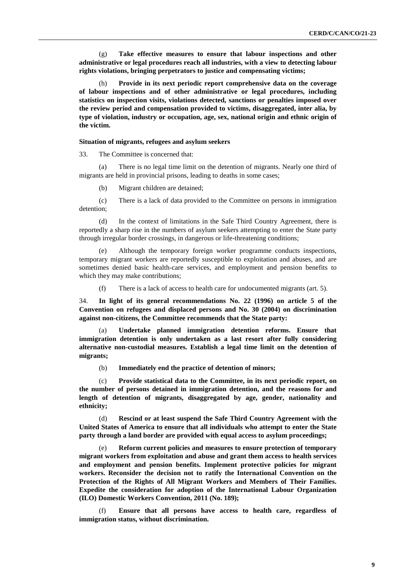(g) **Take effective measures to ensure that labour inspections and other administrative or legal procedures reach all industries, with a view to detecting labour rights violations, bringing perpetrators to justice and compensating victims;**

(h) **Provide in its next periodic report comprehensive data on the coverage of labour inspections and of other administrative or legal procedures, including statistics on inspection visits, violations detected, sanctions or penalties imposed over the review period and compensation provided to victims, disaggregated, inter alia, by type of violation, industry or occupation, age, sex, national origin and ethnic origin of the victim.**

#### **Situation of migrants, refugees and asylum seekers**

33. The Committee is concerned that:

(a) There is no legal time limit on the detention of migrants. Nearly one third of migrants are held in provincial prisons, leading to deaths in some cases;

(b) Migrant children are detained;

(c) There is a lack of data provided to the Committee on persons in immigration detention;

(d) In the context of limitations in the Safe Third Country Agreement, there is reportedly a sharp rise in the numbers of asylum seekers attempting to enter the State party through irregular border crossings, in dangerous or life-threatening conditions;

(e) Although the temporary foreign worker programme conducts inspections, temporary migrant workers are reportedly susceptible to exploitation and abuses, and are sometimes denied basic health-care services, and employment and pension benefits to which they may make contributions;

(f) There is a lack of access to health care for undocumented migrants (art. 5).

34. **In light of its general recommendations No. 22 (1996) on article 5 of the Convention on refugees and displaced persons and No. 30 (2004) on discrimination against non-citizens, the Committee recommends that the State party:**

(a) **Undertake planned immigration detention reforms. Ensure that immigration detention is only undertaken as a last resort after fully considering alternative non-custodial measures. Establish a legal time limit on the detention of migrants;**

(b) **Immediately end the practice of detention of minors;**

(c) **Provide statistical data to the Committee, in its next periodic report, on the number of persons detained in immigration detention, and the reasons for and length of detention of migrants, disaggregated by age, gender, nationality and ethnicity;**

(d) **Rescind or at least suspend the Safe Third Country Agreement with the United States of America to ensure that all individuals who attempt to enter the State party through a land border are provided with equal access to asylum proceedings;**

(e) **Reform current policies and measures to ensure protection of temporary migrant workers from exploitation and abuse and grant them access to health services and employment and pension benefits. Implement protective policies for migrant workers. Reconsider the decision not to ratify the International Convention on the Protection of the Rights of All Migrant Workers and Members of Their Families. Expedite the consideration for adoption of the International Labour Organization (ILO) Domestic Workers Convention, 2011 (No. 189);**

(f) **Ensure that all persons have access to health care, regardless of immigration status, without discrimination.**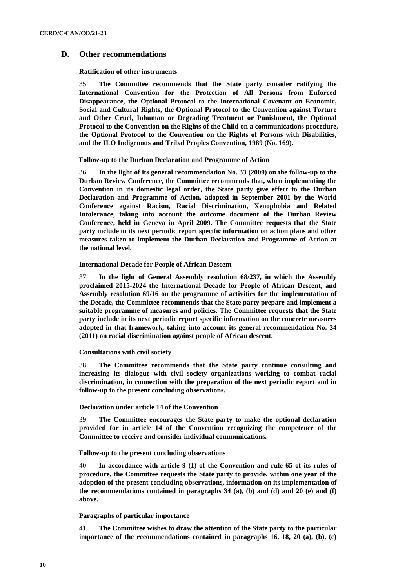## **D. Other recommendations**

#### **Ratification of other instruments**

35. **The Committee recommends that the State party consider ratifying the International Convention for the Protection of All Persons from Enforced Disappearance, the Optional Protocol to the International Covenant on Economic, Social and Cultural Rights, the Optional Protocol to the Convention against Torture and Other Cruel, Inhuman or Degrading Treatment or Punishment, the Optional Protocol to the Convention on the Rights of the Child on a communications procedure, the Optional Protocol to the Convention on the Rights of Persons with Disabilities, and the ILO Indigenous and Tribal Peoples Convention, 1989 (No. 169).**

#### **Follow-up to the Durban Declaration and Programme of Action**

36. **In the light of its general recommendation No. 33 (2009) on the follow-up to the Durban Review Conference, the Committee recommends that, when implementing the Convention in its domestic legal order, the State party give effect to the Durban Declaration and Programme of Action, adopted in September 2001 by the World Conference against Racism, Racial Discrimination, Xenophobia and Related Intolerance, taking into account the outcome document of the Durban Review Conference, held in Geneva in April 2009. The Committee requests that the State party include in its next periodic report specific information on action plans and other measures taken to implement the Durban Declaration and Programme of Action at the national level.**

#### **International Decade for People of African Descent**

37. **In the light of General Assembly resolution 68/237, in which the Assembly proclaimed 2015-2024 the International Decade for People of African Descent, and Assembly resolution 69/16 on the programme of activities for the implementation of the Decade, the Committee recommends that the State party prepare and implement a suitable programme of measures and policies. The Committee requests that the State party include in its next periodic report specific information on the concrete measures adopted in that framework, taking into account its general recommendation No. 34 (2011) on racial discrimination against people of African descent.**

#### **Consultations with civil society**

38. **The Committee recommends that the State party continue consulting and increasing its dialogue with civil society organizations working to combat racial discrimination, in connection with the preparation of the next periodic report and in follow-up to the present concluding observations.**

#### **Declaration under article 14 of the Convention**

39. **The Committee encourages the State party to make the optional declaration provided for in article 14 of the Convention recognizing the competence of the Committee to receive and consider individual communications.**

#### **Follow-up to the present concluding observations**

40. **In accordance with article 9 (1) of the Convention and rule 65 of its rules of procedure, the Committee requests the State party to provide, within one year of the adoption of the present concluding observations, information on its implementation of the recommendations contained in paragraphs 34 (a), (b) and (d) and 20 (e) and (f) above.**

### **Paragraphs of particular importance**

41. **The Committee wishes to draw the attention of the State party to the particular importance of the recommendations contained in paragraphs 16, 18, 20 (a), (b), (c)**